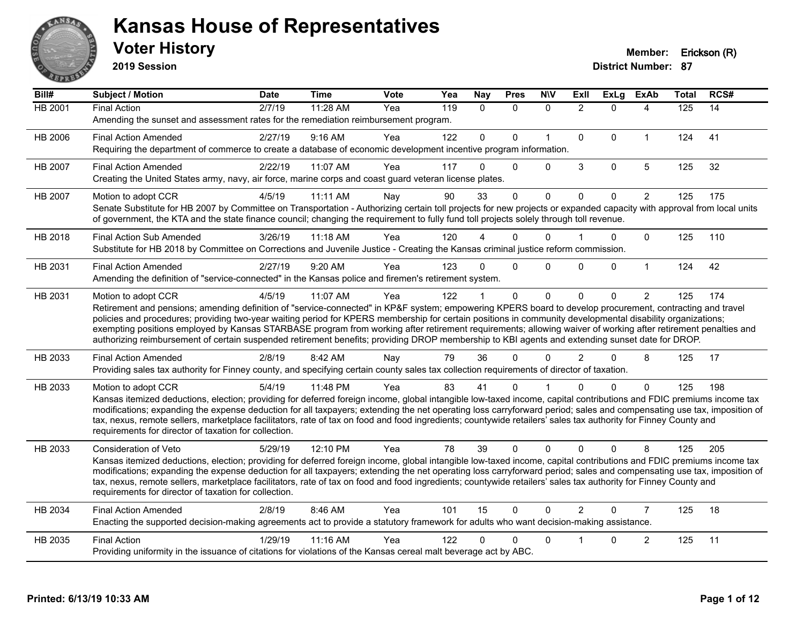

**2019 Session**

| Bill#          | Subject / Motion                                                                                                                                                                                                                                                                                                                         | <b>Date</b> | <b>Time</b> | <b>Vote</b> | Yea | Nay          | <b>Pres</b>  | <b>NIV</b>   | ExII           | <b>ExLg</b>  | <b>ExAb</b>    | <b>Total</b> | RCS# |
|----------------|------------------------------------------------------------------------------------------------------------------------------------------------------------------------------------------------------------------------------------------------------------------------------------------------------------------------------------------|-------------|-------------|-------------|-----|--------------|--------------|--------------|----------------|--------------|----------------|--------------|------|
| <b>HB 2001</b> | <b>Final Action</b>                                                                                                                                                                                                                                                                                                                      | 2/7/19      | 11:28 AM    | Yea         | 119 | $\mathbf{0}$ | $\mathbf{0}$ | $\mathbf{0}$ | $\overline{2}$ | $\Omega$     | 4              | 125          | 14   |
|                | Amending the sunset and assessment rates for the remediation reimbursement program.                                                                                                                                                                                                                                                      |             |             |             |     |              |              |              |                |              |                |              |      |
| HB 2006        | <b>Final Action Amended</b>                                                                                                                                                                                                                                                                                                              | 2/27/19     | 9:16 AM     | Yea         | 122 | $\mathbf{0}$ | $\Omega$     | $\mathbf{1}$ | $\mathbf{0}$   | $\Omega$     | $\mathbf{1}$   | 124          | 41   |
|                | Requiring the department of commerce to create a database of economic development incentive program information.                                                                                                                                                                                                                         |             |             |             |     |              |              |              |                |              |                |              |      |
| HB 2007        | <b>Final Action Amended</b>                                                                                                                                                                                                                                                                                                              | 2/22/19     | 11:07 AM    | Yea         | 117 | $\Omega$     | $\Omega$     | $\Omega$     | 3              | $\mathbf 0$  | 5              | 125          | 32   |
|                | Creating the United States army, navy, air force, marine corps and coast guard veteran license plates.                                                                                                                                                                                                                                   |             |             |             |     |              |              |              |                |              |                |              |      |
| HB 2007        | Motion to adopt CCR                                                                                                                                                                                                                                                                                                                      | 4/5/19      | 11:11 AM    | Nay         | 90  | 33           | $\Omega$     | 0            | $\mathbf{0}$   | $\mathbf{0}$ | $\overline{2}$ | 125          | 175  |
|                | Senate Substitute for HB 2007 by Committee on Transportation - Authorizing certain toll projects for new projects or expanded capacity with approval from local units<br>of government, the KTA and the state finance council; changing the requirement to fully fund toll projects solely through toll revenue.                         |             |             |             |     |              |              |              |                |              |                |              |      |
| HB 2018        | <b>Final Action Sub Amended</b>                                                                                                                                                                                                                                                                                                          | 3/26/19     | $11:18$ AM  | Yea         | 120 |              | $\Omega$     | $\Omega$     |                | $\Omega$     | $\Omega$       | 125          | 110  |
|                | Substitute for HB 2018 by Committee on Corrections and Juvenile Justice - Creating the Kansas criminal justice reform commission.                                                                                                                                                                                                        |             |             |             |     |              |              |              |                |              |                |              |      |
| HB 2031        | <b>Final Action Amended</b>                                                                                                                                                                                                                                                                                                              | 2/27/19     | 9:20 AM     | Yea         | 123 | $\Omega$     | $\Omega$     | $\mathbf{0}$ | $\Omega$       | $\Omega$     | $\mathbf{1}$   | 124          | 42   |
|                | Amending the definition of "service-connected" in the Kansas police and firemen's retirement system.                                                                                                                                                                                                                                     |             |             |             |     |              |              |              |                |              |                |              |      |
| HB 2031        | Motion to adopt CCR                                                                                                                                                                                                                                                                                                                      | 4/5/19      | 11:07 AM    | Yea         | 122 |              | $\mathbf{0}$ | $\Omega$     | $\Omega$       | $\Omega$     | $\overline{2}$ | 125          | 174  |
|                | Retirement and pensions; amending definition of "service-connected" in KP&F system; empowering KPERS board to develop procurement, contracting and travel                                                                                                                                                                                |             |             |             |     |              |              |              |                |              |                |              |      |
|                | policies and procedures; providing two-year waiting period for KPERS membership for certain positions in community developmental disability organizations;<br>exempting positions employed by Kansas STARBASE program from working after retirement requirements; allowing waiver of working after retirement penalties and              |             |             |             |     |              |              |              |                |              |                |              |      |
|                | authorizing reimbursement of certain suspended retirement benefits; providing DROP membership to KBI agents and extending sunset date for DROP.                                                                                                                                                                                          |             |             |             |     |              |              |              |                |              |                |              |      |
| HB 2033        | <b>Final Action Amended</b>                                                                                                                                                                                                                                                                                                              | 2/8/19      | 8:42 AM     | Nay         | 79  | 36           | $\Omega$     | $\Omega$     | $\overline{2}$ | $\Omega$     | 8              | 125          | 17   |
|                | Providing sales tax authority for Finney county, and specifying certain county sales tax collection requirements of director of taxation.                                                                                                                                                                                                |             |             |             |     |              |              |              |                |              |                |              |      |
| HB 2033        | Motion to adopt CCR                                                                                                                                                                                                                                                                                                                      | 5/4/19      | 11:48 PM    | Yea         | 83  | 41           | 0            |              | U              | $\Omega$     | $\Omega$       | 125          | 198  |
|                | Kansas itemized deductions, election; providing for deferred foreign income, global intangible low-taxed income, capital contributions and FDIC premiums income tax                                                                                                                                                                      |             |             |             |     |              |              |              |                |              |                |              |      |
|                | modifications; expanding the expense deduction for all taxpayers; extending the net operating loss carryforward period; sales and compensating use tax, imposition of<br>tax, nexus, remote sellers, marketplace facilitators, rate of tax on food and food ingredients; countywide retailers' sales tax authority for Finney County and |             |             |             |     |              |              |              |                |              |                |              |      |
|                | requirements for director of taxation for collection.                                                                                                                                                                                                                                                                                    |             |             |             |     |              |              |              |                |              |                |              |      |
| HB 2033        | Consideration of Veto                                                                                                                                                                                                                                                                                                                    | 5/29/19     | 12:10 PM    | Yea         | 78  | 39           | $\Omega$     | $\Omega$     | $\Omega$       | $\Omega$     | 8              | 125          | 205  |
|                | Kansas itemized deductions, election; providing for deferred foreign income, global intangible low-taxed income, capital contributions and FDIC premiums income tax                                                                                                                                                                      |             |             |             |     |              |              |              |                |              |                |              |      |
|                | modifications; expanding the expense deduction for all taxpayers; extending the net operating loss carryforward period; sales and compensating use tax, imposition of<br>tax, nexus, remote sellers, marketplace facilitators, rate of tax on food and food ingredients; countywide retailers' sales tax authority for Finney County and |             |             |             |     |              |              |              |                |              |                |              |      |
|                | requirements for director of taxation for collection.                                                                                                                                                                                                                                                                                    |             |             |             |     |              |              |              |                |              |                |              |      |
| HB 2034        | <b>Final Action Amended</b>                                                                                                                                                                                                                                                                                                              | 2/8/19      | 8:46 AM     | Yea         | 101 | 15           | $\Omega$     | $\Omega$     | $\overline{2}$ | $\Omega$     | $\overline{7}$ | 125          | 18   |
|                | Enacting the supported decision-making agreements act to provide a statutory framework for adults who want decision-making assistance.                                                                                                                                                                                                   |             |             |             |     |              |              |              |                |              |                |              |      |
| HB 2035        | <b>Final Action</b>                                                                                                                                                                                                                                                                                                                      | 1/29/19     | 11:16 AM    | Yea         | 122 | 0            | $\Omega$     | $\Omega$     |                | 0            | $\overline{c}$ | 125          | 11   |
|                | Providing uniformity in the issuance of citations for violations of the Kansas cereal malt beverage act by ABC.                                                                                                                                                                                                                          |             |             |             |     |              |              |              |                |              |                |              |      |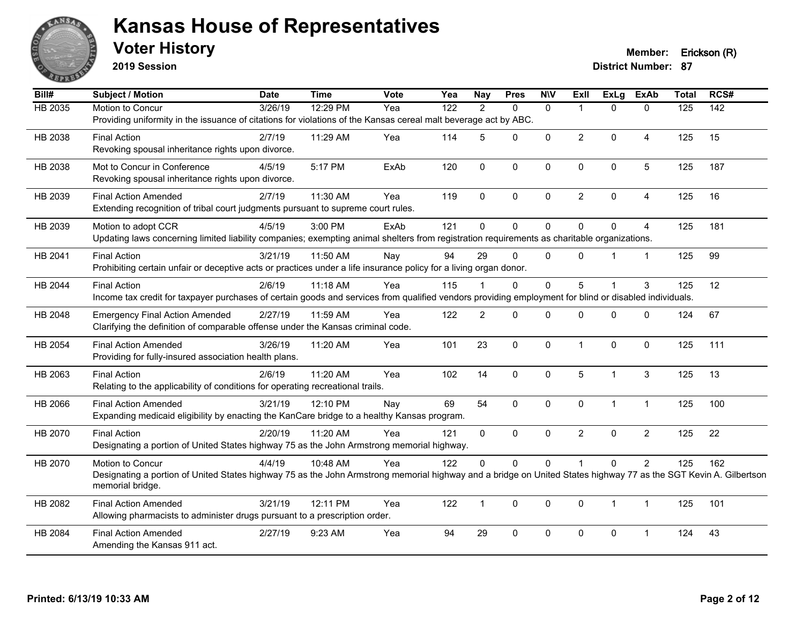

**2019 Session**

**Voter History Member: Erickson (R)** 

| Bill#          | Subject / Motion                                                                                                                                                 | <b>Date</b> | <b>Time</b> | <b>Vote</b> | Yea | <b>Nay</b>     | <b>Pres</b>  | <b>NIV</b>   | <b>Exll</b>    | ExLg         | <b>ExAb</b>    | <b>Total</b> | RCS# |
|----------------|------------------------------------------------------------------------------------------------------------------------------------------------------------------|-------------|-------------|-------------|-----|----------------|--------------|--------------|----------------|--------------|----------------|--------------|------|
| <b>HB 2035</b> | Motion to Concur                                                                                                                                                 | 3/26/19     | 12:29 PM    | Yea         | 122 | $\overline{2}$ | $\Omega$     | $\mathbf{0}$ | 1              | $\Omega$     | $\mathbf{0}$   | 125          | 142  |
|                | Providing uniformity in the issuance of citations for violations of the Kansas cereal malt beverage act by ABC.                                                  |             |             |             |     |                |              |              |                |              |                |              |      |
| HB 2038        | <b>Final Action</b>                                                                                                                                              | 2/7/19      | 11:29 AM    | Yea         | 114 | 5              | $\Omega$     | $\mathbf 0$  | $\overline{2}$ | 0            | $\overline{4}$ | 125          | 15   |
|                | Revoking spousal inheritance rights upon divorce.                                                                                                                |             |             |             |     |                |              |              |                |              |                |              |      |
| HB 2038        | Mot to Concur in Conference                                                                                                                                      | 4/5/19      | 5:17 PM     | ExAb        | 120 | $\mathbf{0}$   | 0            | $\mathbf 0$  | $\Omega$       | $\mathbf 0$  | $\overline{5}$ | 125          | 187  |
|                | Revoking spousal inheritance rights upon divorce.                                                                                                                |             |             |             |     |                |              |              |                |              |                |              |      |
| HB 2039        | <b>Final Action Amended</b>                                                                                                                                      | 2/7/19      | 11:30 AM    | Yea         | 119 | $\mathbf{0}$   | $\Omega$     | $\mathbf{0}$ | $\overline{2}$ | $\Omega$     | 4              | 125          | 16   |
|                | Extending recognition of tribal court judgments pursuant to supreme court rules.                                                                                 |             |             |             |     |                |              |              |                |              |                |              |      |
| HB 2039        | Motion to adopt CCR                                                                                                                                              | 4/5/19      | 3:00 PM     | ExAb        | 121 | $\mathbf 0$    | 0            | $\pmb{0}$    | $\Omega$       | $\mathbf 0$  | $\overline{4}$ | 125          | 181  |
|                | Updating laws concerning limited liability companies; exempting animal shelters from registration requirements as charitable organizations.                      |             |             |             |     |                |              |              |                |              |                |              |      |
| HB 2041        | <b>Final Action</b>                                                                                                                                              | 3/21/19     | 11:50 AM    | Nay         | 94  | 29             | $\Omega$     | $\Omega$     | $\Omega$       |              | $\mathbf{1}$   | 125          | 99   |
|                | Prohibiting certain unfair or deceptive acts or practices under a life insurance policy for a living organ donor.                                                |             |             |             |     |                |              |              |                |              |                |              |      |
| HB 2044        | <b>Final Action</b>                                                                                                                                              | 2/6/19      | $11:18$ AM  | Yea         | 115 |                | $\Omega$     | $\mathbf 0$  | 5              |              | 3              | 125          | 12   |
|                | Income tax credit for taxpayer purchases of certain goods and services from qualified vendors providing employment for blind or disabled individuals.            |             |             |             |     |                |              |              |                |              |                |              |      |
| HB 2048        | <b>Emergency Final Action Amended</b>                                                                                                                            | 2/27/19     | 11:59 AM    | Yea         | 122 | $\overline{2}$ | $\mathbf{0}$ | $\mathbf{0}$ | $\Omega$       | $\Omega$     | $\mathbf 0$    | 124          | 67   |
|                | Clarifying the definition of comparable offense under the Kansas criminal code.                                                                                  |             |             |             |     |                |              |              |                |              |                |              |      |
| HB 2054        | <b>Final Action Amended</b>                                                                                                                                      | 3/26/19     | 11:20 AM    | Yea         | 101 | 23             | 0            | $\mathbf 0$  | 1              | $\mathbf 0$  | $\mathbf 0$    | 125          | 111  |
|                | Providing for fully-insured association health plans.                                                                                                            |             |             |             |     |                |              |              |                |              |                |              |      |
| HB 2063        | <b>Final Action</b>                                                                                                                                              | 2/6/19      | 11:20 AM    | Yea         | 102 | 14             | 0            | $\mathbf 0$  | 5              | 1            | $\sqrt{3}$     | 125          | 13   |
|                | Relating to the applicability of conditions for operating recreational trails.                                                                                   |             |             |             |     |                |              |              |                |              |                |              |      |
| HB 2066        | <b>Final Action Amended</b>                                                                                                                                      | 3/21/19     | 12:10 PM    | Nay         | 69  | 54             | $\Omega$     | $\mathbf{0}$ | $\Omega$       | 1            | $\mathbf{1}$   | 125          | 100  |
|                | Expanding medicaid eligibility by enacting the KanCare bridge to a healthy Kansas program.                                                                       |             |             |             |     |                |              |              |                |              |                |              |      |
| HB 2070        | <b>Final Action</b>                                                                                                                                              | 2/20/19     | 11:20 AM    | Yea         | 121 | $\mathbf{0}$   | 0            | $\mathbf 0$  | $\overline{2}$ | $\Omega$     | $\overline{c}$ | 125          | 22   |
|                | Designating a portion of United States highway 75 as the John Armstrong memorial highway.                                                                        |             |             |             |     |                |              |              |                |              |                |              |      |
| HB 2070        | Motion to Concur                                                                                                                                                 | 4/4/19      | 10:48 AM    | Yea         | 122 | $\Omega$       | $\mathbf 0$  | $\mathbf 0$  |                | $\mathbf 0$  | $\overline{2}$ | 125          | 162  |
|                | Designating a portion of United States highway 75 as the John Armstrong memorial highway and a bridge on United States highway 77 as the SGT Kevin A. Gilbertson |             |             |             |     |                |              |              |                |              |                |              |      |
|                | memorial bridge.                                                                                                                                                 |             |             |             |     |                |              |              |                |              |                |              |      |
| HB 2082        | <b>Final Action Amended</b>                                                                                                                                      | 3/21/19     | 12:11 PM    | Yea         | 122 | $\mathbf{1}$   | 0            | $\mathbf 0$  | $\mathbf 0$    | $\mathbf{1}$ | $\mathbf{1}$   | 125          | 101  |
|                | Allowing pharmacists to administer drugs pursuant to a prescription order.                                                                                       |             |             |             |     |                |              |              |                |              |                |              |      |
| HB 2084        | <b>Final Action Amended</b>                                                                                                                                      | 2/27/19     | 9:23 AM     | Yea         | 94  | 29             | $\Omega$     | $\mathbf{0}$ | $\Omega$       | $\Omega$     | 1              | 124          | 43   |
|                | Amending the Kansas 911 act.                                                                                                                                     |             |             |             |     |                |              |              |                |              |                |              |      |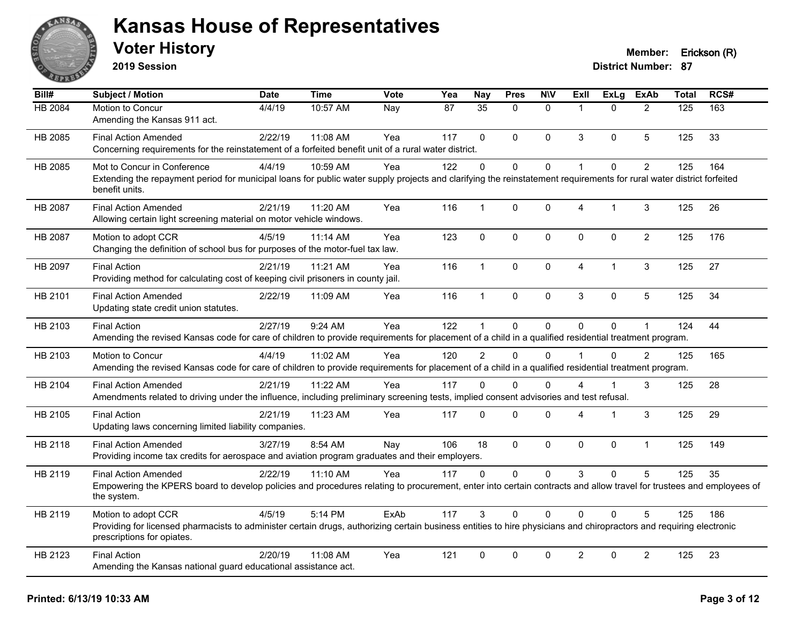

**2019 Session**

| $\overline{Bill#}$ | <b>Subject / Motion</b>                                                                                                                                                                           | <b>Date</b> | <b>Time</b> | <b>Vote</b> | Yea | <b>Nay</b>    | <b>Pres</b>    | <b>N\V</b>   | ExII           | <b>ExLg</b>  | <b>ExAb</b>    | <b>Total</b>     | RCS# |
|--------------------|---------------------------------------------------------------------------------------------------------------------------------------------------------------------------------------------------|-------------|-------------|-------------|-----|---------------|----------------|--------------|----------------|--------------|----------------|------------------|------|
| <b>HB 2084</b>     | Motion to Concur                                                                                                                                                                                  | 4/4/19      | 10:57 AM    | Nay         | 87  | 35            | $\Omega$       | $\mathbf{0}$ | $\overline{1}$ | $\Omega$     | 2              | $\overline{125}$ | 163  |
|                    | Amending the Kansas 911 act.                                                                                                                                                                      |             |             |             |     |               |                |              |                |              |                |                  |      |
| HB 2085            | <b>Final Action Amended</b>                                                                                                                                                                       | 2/22/19     | 11:08 AM    | Yea         | 117 | $\Omega$      | $\Omega$       | $\mathbf 0$  | 3              | $\mathbf{0}$ | 5              | 125              | 33   |
|                    | Concerning requirements for the reinstatement of a forfeited benefit unit of a rural water district.                                                                                              |             |             |             |     |               |                |              |                |              |                |                  |      |
| HB 2085            | Mot to Concur in Conference                                                                                                                                                                       | 4/4/19      | 10:59 AM    | Yea         | 122 | $\Omega$      | $\Omega$       | $\mathbf 0$  | $\overline{1}$ | $\Omega$     | $\overline{2}$ | 125              | 164  |
|                    | Extending the repayment period for municipal loans for public water supply projects and clarifying the reinstatement requirements for rural water district forfeited<br>benefit units.            |             |             |             |     |               |                |              |                |              |                |                  |      |
| HB 2087            | <b>Final Action Amended</b>                                                                                                                                                                       | 2/21/19     | 11:20 AM    | Yea         | 116 | $\mathbf{1}$  | 0              | 0            | 4              | $\mathbf 1$  | $\mathbf{3}$   | 125              | 26   |
|                    | Allowing certain light screening material on motor vehicle windows.                                                                                                                               |             |             |             |     |               |                |              |                |              |                |                  |      |
| HB 2087            | Motion to adopt CCR                                                                                                                                                                               | 4/5/19      | 11:14 AM    | Yea         | 123 | $\mathbf 0$   | $\mathbf 0$    | 0            | $\mathbf 0$    | $\mathbf{0}$ | $\overline{2}$ | 125              | 176  |
|                    | Changing the definition of school bus for purposes of the motor-fuel tax law.                                                                                                                     |             |             |             |     |               |                |              |                |              |                |                  |      |
| HB 2097            | <b>Final Action</b>                                                                                                                                                                               | 2/21/19     | 11:21 AM    | Yea         | 116 | $\mathbf{1}$  | 0              | $\mathbf 0$  | $\overline{4}$ | 1            | 3              | 125              | 27   |
|                    | Providing method for calculating cost of keeping civil prisoners in county jail.                                                                                                                  |             |             |             |     |               |                |              |                |              |                |                  |      |
| HB 2101            | <b>Final Action Amended</b>                                                                                                                                                                       | 2/22/19     | 11:09 AM    | Yea         | 116 | $\mathbf{1}$  | 0              | 0            | 3              | $\Omega$     | 5              | 125              | 34   |
|                    | Updating state credit union statutes.                                                                                                                                                             |             |             |             |     |               |                |              |                |              |                |                  |      |
| HB 2103            | <b>Final Action</b>                                                                                                                                                                               | 2/27/19     | 9:24 AM     | Yea         | 122 | $\mathbf 1$   | $\Omega$       | $\Omega$     | $\Omega$       | $\Omega$     |                | 124              | 44   |
|                    | Amending the revised Kansas code for care of children to provide requirements for placement of a child in a qualified residential treatment program.                                              |             |             |             |     |               |                |              |                |              |                |                  |      |
| HB 2103            | Motion to Concur                                                                                                                                                                                  | 4/4/19      | 11:02 AM    | Yea         | 120 | $\mathcal{P}$ | $\Omega$       | $\Omega$     | $\overline{1}$ | $\Omega$     | $\mathcal{P}$  | 125              | 165  |
|                    | Amending the revised Kansas code for care of children to provide requirements for placement of a child in a qualified residential treatment program.                                              |             |             |             |     |               |                |              |                |              |                |                  |      |
| HB 2104            | <b>Final Action Amended</b>                                                                                                                                                                       | 2/21/19     | $11:22$ AM  | Yea         | 117 | $\Omega$      | $\Omega$       | $\Omega$     | 4              |              | 3              | 125              | 28   |
|                    | Amendments related to driving under the influence, including preliminary screening tests, implied consent advisories and test refusal.                                                            |             |             |             |     |               |                |              |                |              |                |                  |      |
| HB 2105            | <b>Final Action</b>                                                                                                                                                                               | 2/21/19     | 11:23 AM    | Yea         | 117 | 0             | 0              | 0            | $\Delta$       | 1            | 3              | 125              | 29   |
|                    | Updating laws concerning limited liability companies.                                                                                                                                             |             |             |             |     |               |                |              |                |              |                |                  |      |
| HB 2118            | <b>Final Action Amended</b>                                                                                                                                                                       | 3/27/19     | 8:54 AM     | Nay         | 106 | 18            | $\overline{0}$ | $\mathbf 0$  | $\mathbf 0$    | 0            | $\mathbf{1}$   | 125              | 149  |
|                    | Providing income tax credits for aerospace and aviation program graduates and their employers.                                                                                                    |             |             |             |     |               |                |              |                |              |                |                  |      |
| HB 2119            | <b>Final Action Amended</b>                                                                                                                                                                       | 2/22/19     | 11:10 AM    | Yea         | 117 | $\mathbf{0}$  | $\Omega$       | 0            | 3              | $\mathbf{0}$ | 5              | 125              | 35   |
|                    | Empowering the KPERS board to develop policies and procedures relating to procurement, enter into certain contracts and allow travel for trustees and employees of<br>the system.                 |             |             |             |     |               |                |              |                |              |                |                  |      |
| HB 2119            | Motion to adopt CCR                                                                                                                                                                               | 4/5/19      | 5:14 PM     | ExAb        | 117 | 3             | 0              | $\Omega$     | $\Omega$       | $\Omega$     | 5              | 125              | 186  |
|                    | Providing for licensed pharmacists to administer certain drugs, authorizing certain business entities to hire physicians and chiropractors and requiring electronic<br>prescriptions for opiates. |             |             |             |     |               |                |              |                |              |                |                  |      |
| HB 2123            | <b>Final Action</b>                                                                                                                                                                               | 2/20/19     | 11:08 AM    | Yea         | 121 | $\Omega$      | 0              | $\Omega$     | $\overline{2}$ | 0            | $\overline{2}$ | 125              | 23   |
|                    | Amending the Kansas national guard educational assistance act.                                                                                                                                    |             |             |             |     |               |                |              |                |              |                |                  |      |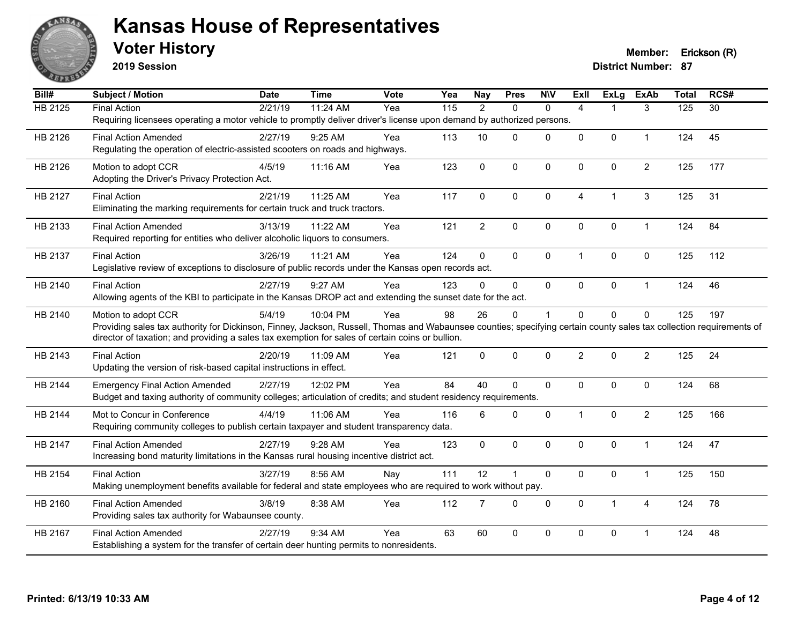

**2019 Session**

| $\overline{BiII#}$ | Subject / Motion                                                                                                                                                                                                                                                         | <b>Date</b> | <b>Time</b> | <b>Vote</b> | Yea               | <b>Nay</b>     | <b>Pres</b>    | <b>NIV</b>   | <b>Exll</b>    | <b>ExLg</b>    | <b>ExAb</b>    | <b>Total</b> | RCS#            |
|--------------------|--------------------------------------------------------------------------------------------------------------------------------------------------------------------------------------------------------------------------------------------------------------------------|-------------|-------------|-------------|-------------------|----------------|----------------|--------------|----------------|----------------|----------------|--------------|-----------------|
| <b>HB 2125</b>     | <b>Final Action</b>                                                                                                                                                                                                                                                      | 2/21/19     | 11:24 AM    | Yea         | $\frac{115}{115}$ | $\overline{2}$ | $\mathbf{0}$   | $\mathbf{0}$ | $\overline{4}$ | 1              | 3              | 125          | $\overline{30}$ |
|                    | Requiring licensees operating a motor vehicle to promptly deliver driver's license upon demand by authorized persons.                                                                                                                                                    |             |             |             |                   |                |                |              |                |                |                |              |                 |
| HB 2126            | <b>Final Action Amended</b>                                                                                                                                                                                                                                              | 2/27/19     | 9:25 AM     | Yea         | 113               | 10             | $\Omega$       | $\mathbf 0$  | 0              | $\mathbf 0$    | $\mathbf{1}$   | 124          | 45              |
|                    | Regulating the operation of electric-assisted scooters on roads and highways.                                                                                                                                                                                            |             |             |             |                   |                |                |              |                |                |                |              |                 |
| HB 2126            | Motion to adopt CCR                                                                                                                                                                                                                                                      | 4/5/19      | 11:16 AM    | Yea         | 123               | $\mathbf{0}$   | $\Omega$       | $\mathbf{0}$ | $\mathbf{0}$   | $\mathbf{0}$   | $\overline{2}$ | 125          | 177             |
|                    | Adopting the Driver's Privacy Protection Act.                                                                                                                                                                                                                            |             |             |             |                   |                |                |              |                |                |                |              |                 |
| HB 2127            | <b>Final Action</b>                                                                                                                                                                                                                                                      | 2/21/19     | 11:25 AM    | Yea         | 117               | $\Omega$       | $\Omega$       | $\mathbf{0}$ | 4              | $\overline{1}$ | 3              | 125          | 31              |
|                    | Eliminating the marking requirements for certain truck and truck tractors.                                                                                                                                                                                               |             |             |             |                   |                |                |              |                |                |                |              |                 |
| HB 2133            | <b>Final Action Amended</b>                                                                                                                                                                                                                                              | 3/13/19     | 11:22 AM    | Yea         | 121               | $\overline{2}$ | $\mathbf 0$    | $\mathbf 0$  | $\Omega$       | $\mathbf 0$    | $\mathbf{1}$   | 124          | 84              |
|                    | Required reporting for entities who deliver alcoholic liquors to consumers.                                                                                                                                                                                              |             |             |             |                   |                |                |              |                |                |                |              |                 |
| HB 2137            | <b>Final Action</b>                                                                                                                                                                                                                                                      | 3/26/19     | 11:21 AM    | Yea         | 124               | 0              | $\Omega$       | $\mathbf 0$  | 1              | $\mathbf 0$    | $\mathbf 0$    | 125          | 112             |
|                    | Legislative review of exceptions to disclosure of public records under the Kansas open records act.                                                                                                                                                                      |             |             |             |                   |                |                |              |                |                |                |              |                 |
|                    |                                                                                                                                                                                                                                                                          |             |             |             |                   |                |                |              |                |                |                |              |                 |
| HB 2140            | <b>Final Action</b><br>Allowing agents of the KBI to participate in the Kansas DROP act and extending the sunset date for the act.                                                                                                                                       | 2/27/19     | 9:27 AM     | Yea         | 123               | $\Omega$       | $\mathbf{0}$   | $\mathbf 0$  | 0              | $\mathbf 0$    | $\mathbf{1}$   | 124          | 46              |
|                    |                                                                                                                                                                                                                                                                          |             |             |             |                   |                |                |              |                |                |                |              |                 |
| HB 2140            | Motion to adopt CCR                                                                                                                                                                                                                                                      | 5/4/19      | 10:04 PM    | Yea         | 98                | 26             | $\Omega$       | 1            | $\Omega$       | $\Omega$       | $\Omega$       | 125          | 197             |
|                    | Providing sales tax authority for Dickinson, Finney, Jackson, Russell, Thomas and Wabaunsee counties; specifying certain county sales tax collection requirements of<br>director of taxation; and providing a sales tax exemption for sales of certain coins or bullion. |             |             |             |                   |                |                |              |                |                |                |              |                 |
| HB 2143            | <b>Final Action</b>                                                                                                                                                                                                                                                      | 2/20/19     | 11:09 AM    | Yea         | 121               | $\mathbf{0}$   | $\mathbf 0$    | $\mathbf 0$  | $\overline{2}$ | $\mathbf 0$    | $\overline{2}$ | 125          | 24              |
|                    | Updating the version of risk-based capital instructions in effect.                                                                                                                                                                                                       |             |             |             |                   |                |                |              |                |                |                |              |                 |
|                    |                                                                                                                                                                                                                                                                          |             |             |             |                   |                |                |              |                |                |                |              |                 |
| HB 2144            | <b>Emergency Final Action Amended</b>                                                                                                                                                                                                                                    | 2/27/19     | 12:02 PM    | Yea         | 84                | 40             | $\Omega$       | $\mathbf 0$  | 0              | $\mathbf 0$    | $\mathbf 0$    | 124          | 68              |
|                    | Budget and taxing authority of community colleges; articulation of credits; and student residency requirements.                                                                                                                                                          |             |             |             |                   |                |                |              |                |                |                |              |                 |
| HB 2144            | Mot to Concur in Conference                                                                                                                                                                                                                                              | 4/4/19      | 11:06 AM    | Yea         | 116               | 6              | $\Omega$       | $\mathbf{0}$ | $\mathbf 1$    | $\mathbf 0$    | $\overline{2}$ | 125          | 166             |
|                    | Requiring community colleges to publish certain taxpayer and student transparency data.                                                                                                                                                                                  |             |             |             |                   |                |                |              |                |                |                |              |                 |
| HB 2147            | <b>Final Action Amended</b>                                                                                                                                                                                                                                              | 2/27/19     | 9:28 AM     | Yea         | 123               | $\Omega$       | $\Omega$       | $\mathbf{0}$ | $\Omega$       | $\Omega$       | $\overline{1}$ | 124          | 47              |
|                    | Increasing bond maturity limitations in the Kansas rural housing incentive district act.                                                                                                                                                                                 |             |             |             |                   |                |                |              |                |                |                |              |                 |
| HB 2154            | <b>Final Action</b>                                                                                                                                                                                                                                                      | 3/27/19     | 8:56 AM     | Nay         | 111               | 12             | $\overline{1}$ | $\pmb{0}$    | 0              | $\pmb{0}$      | $\mathbf{1}$   | 125          | 150             |
|                    | Making unemployment benefits available for federal and state employees who are required to work without pay.                                                                                                                                                             |             |             |             |                   |                |                |              |                |                |                |              |                 |
| HB 2160            | <b>Final Action Amended</b>                                                                                                                                                                                                                                              | 3/8/19      | 8:38 AM     | Yea         | 112               | $\overline{7}$ | $\mathbf 0$    | $\mathbf 0$  | $\mathbf 0$    | $\mathbf{1}$   | 4              | 124          | 78              |
|                    | Providing sales tax authority for Wabaunsee county.                                                                                                                                                                                                                      |             |             |             |                   |                |                |              |                |                |                |              |                 |
| HB 2167            | <b>Final Action Amended</b>                                                                                                                                                                                                                                              | 2/27/19     | 9:34 AM     | Yea         | 63                | 60             | $\Omega$       | $\Omega$     | $\Omega$       | $\mathbf 0$    | 1              | 124          | 48              |
|                    | Establishing a system for the transfer of certain deer hunting permits to nonresidents.                                                                                                                                                                                  |             |             |             |                   |                |                |              |                |                |                |              |                 |
|                    |                                                                                                                                                                                                                                                                          |             |             |             |                   |                |                |              |                |                |                |              |                 |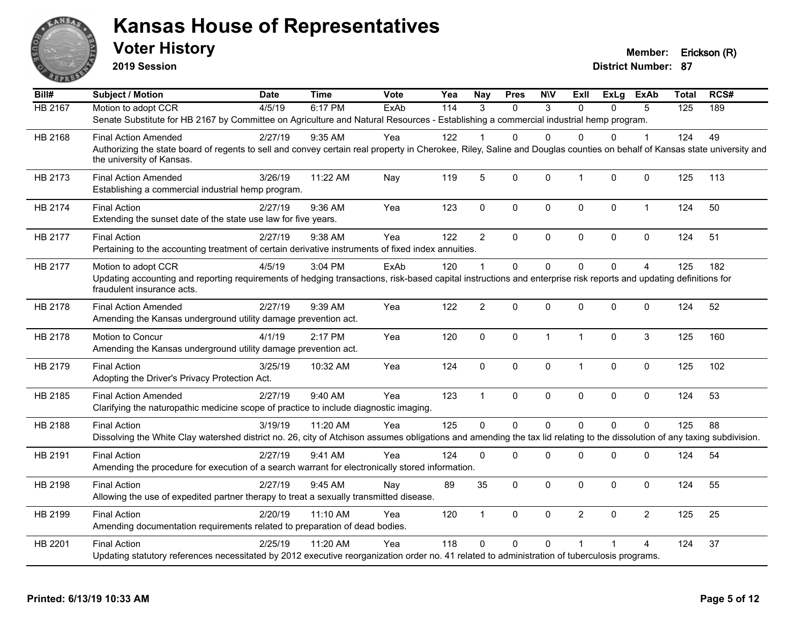

**2019 Session**

| Bill#          | <b>Subject / Motion</b>                                                                                                                                                                               | <b>Date</b> | <b>Time</b> | <b>Vote</b> | Yea | <b>Nay</b>     | <b>Pres</b> | <b>NIV</b>   | Exll           | ExLg     | ExAb           | <b>Total</b>     | RCS# |
|----------------|-------------------------------------------------------------------------------------------------------------------------------------------------------------------------------------------------------|-------------|-------------|-------------|-----|----------------|-------------|--------------|----------------|----------|----------------|------------------|------|
| <b>HB 2167</b> | Motion to adopt CCR                                                                                                                                                                                   | 4/5/19      | 6:17 PM     | ExAb        | 114 | 3              | $\Omega$    | 3            | $\Omega$       | $\Omega$ | 5              | $\overline{125}$ | 189  |
|                | Senate Substitute for HB 2167 by Committee on Agriculture and Natural Resources - Establishing a commercial industrial hemp program.                                                                  |             |             |             |     |                |             |              |                |          |                |                  |      |
| HB 2168        | <b>Final Action Amended</b>                                                                                                                                                                           | 2/27/19     | 9:35 AM     | Yea         | 122 |                | 0           | $\Omega$     | U              | 0        |                | 124              | 49   |
|                | Authorizing the state board of regents to sell and convey certain real property in Cherokee, Riley, Saline and Douglas counties on behalf of Kansas state university and<br>the university of Kansas. |             |             |             |     |                |             |              |                |          |                |                  |      |
| HB 2173        | <b>Final Action Amended</b><br>Establishing a commercial industrial hemp program.                                                                                                                     | 3/26/19     | 11:22 AM    | Nay         | 119 | 5              | 0           | $\mathbf 0$  | $\overline{1}$ | 0        | $\pmb{0}$      | 125              | 113  |
| HB 2174        | <b>Final Action</b><br>Extending the sunset date of the state use law for five years.                                                                                                                 | 2/27/19     | 9:36 AM     | Yea         | 123 | $\mathbf 0$    | 0           | 0            | $\mathbf 0$    | 0        | $\mathbf 1$    | 124              | 50   |
| HB 2177        | <b>Final Action</b>                                                                                                                                                                                   | 2/27/19     | 9:38 AM     | Yea         | 122 | $\overline{2}$ | $\Omega$    | $\mathbf{0}$ | $\mathbf{0}$   | $\Omega$ | $\mathbf 0$    | 124              | 51   |
|                | Pertaining to the accounting treatment of certain derivative instruments of fixed index annuities.                                                                                                    |             |             |             |     |                |             |              |                |          |                |                  |      |
| HB 2177        | Motion to adopt CCR                                                                                                                                                                                   | 4/5/19      | 3:04 PM     | ExAb        | 120 | -1             | $\Omega$    | $\Omega$     | $\Omega$       | $\Omega$ | $\overline{4}$ | 125              | 182  |
|                | Updating accounting and reporting requirements of hedging transactions, risk-based capital instructions and enterprise risk reports and updating definitions for<br>fraudulent insurance acts.        |             |             |             |     |                |             |              |                |          |                |                  |      |
| HB 2178        | <b>Final Action Amended</b><br>Amending the Kansas underground utility damage prevention act.                                                                                                         | 2/27/19     | 9:39 AM     | Yea         | 122 | $\overline{2}$ | $\Omega$    | $\mathbf 0$  | $\mathbf{0}$   | 0        | $\mathbf 0$    | 124              | 52   |
| HB 2178        | Motion to Concur<br>Amending the Kansas underground utility damage prevention act.                                                                                                                    | 4/1/19      | 2:17 PM     | Yea         | 120 | $\Omega$       | 0           | $\mathbf{1}$ | $\overline{1}$ | 0        | 3              | 125              | 160  |
| HB 2179        | <b>Final Action</b><br>Adopting the Driver's Privacy Protection Act.                                                                                                                                  | 3/25/19     | 10:32 AM    | Yea         | 124 | 0              | 0           | $\mathbf 0$  | $\overline{1}$ | $\Omega$ | $\mathbf 0$    | 125              | 102  |
| HB 2185        | <b>Final Action Amended</b><br>Clarifying the naturopathic medicine scope of practice to include diagnostic imaging.                                                                                  | 2/27/19     | 9:40 AM     | Yea         | 123 | $\mathbf{1}$   | $\Omega$    | $\mathbf{0}$ | $\mathbf{0}$   | $\Omega$ | $\mathbf 0$    | 124              | 53   |
| HB 2188        | <b>Final Action</b>                                                                                                                                                                                   | 3/19/19     | 11:20 AM    | Yea         | 125 | $\Omega$       | $\mathbf 0$ | $\mathbf 0$  | $\Omega$       | $\Omega$ | $\mathbf 0$    | 125              | 88   |
|                | Dissolving the White Clay watershed district no. 26, city of Atchison assumes obligations and amending the tax lid relating to the dissolution of any taxing subdivision.                             |             |             |             |     |                |             |              |                |          |                |                  |      |
| HB 2191        | <b>Final Action</b><br>Amending the procedure for execution of a search warrant for electronically stored information.                                                                                | 2/27/19     | 9:41 AM     | Yea         | 124 | $\Omega$       | 0           | 0            | 0              | 0        | 0              | 124              | 54   |
| HB 2198        | <b>Final Action</b><br>Allowing the use of expedited partner therapy to treat a sexually transmitted disease.                                                                                         | 2/27/19     | $9:45$ AM   | Nay         | 89  | 35             | $\Omega$    | $\mathbf{0}$ | $\mathbf{0}$   | $\Omega$ | $\mathbf{0}$   | 124              | 55   |
| HB 2199        | <b>Final Action</b><br>Amending documentation requirements related to preparation of dead bodies.                                                                                                     | 2/20/19     | 11:10 AM    | Yea         | 120 | $\mathbf 1$    | $\Omega$    | $\mathbf 0$  | $\overline{2}$ | $\Omega$ | $\overline{2}$ | 125              | 25   |
| HB 2201        | <b>Final Action</b>                                                                                                                                                                                   | 2/25/19     | 11:20 AM    | Yea         | 118 | $\Omega$       | $\mathbf 0$ | $\Omega$     | $\overline{1}$ | 1        | $\overline{4}$ | 124              | 37   |
|                | Updating statutory references necessitated by 2012 executive reorganization order no. 41 related to administration of tuberculosis programs.                                                          |             |             |             |     |                |             |              |                |          |                |                  |      |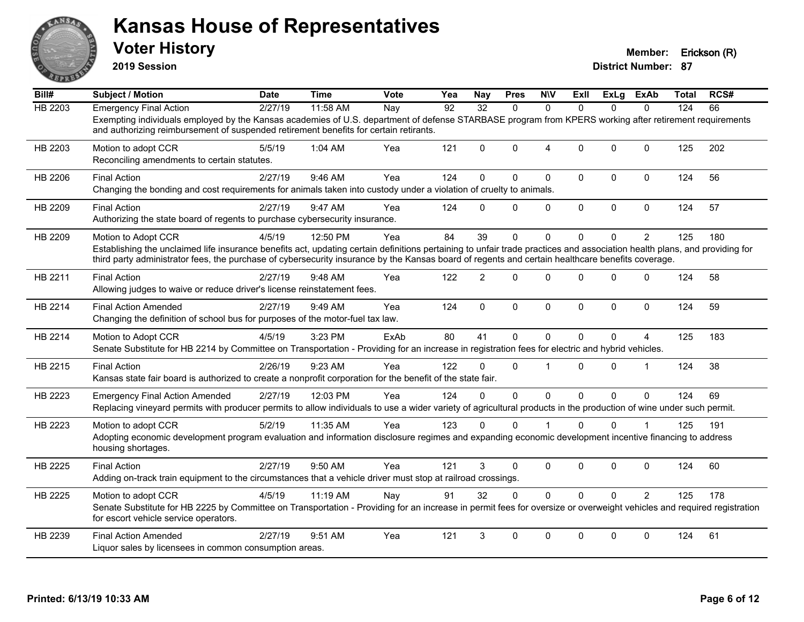

**2019 Session**

| Bill#          | Subject / Motion                                                                                                                                                                                                                                                                                                                                     | Date    | <b>Time</b> | Vote | Yea | <b>Nay</b>     | <b>Pres</b>  | <b>N\V</b>     | ExII         | ExLg        | ExAb           | Total | RCS# |
|----------------|------------------------------------------------------------------------------------------------------------------------------------------------------------------------------------------------------------------------------------------------------------------------------------------------------------------------------------------------------|---------|-------------|------|-----|----------------|--------------|----------------|--------------|-------------|----------------|-------|------|
| <b>HB 2203</b> | <b>Emergency Final Action</b>                                                                                                                                                                                                                                                                                                                        | 2/27/19 | 11:58 AM    | Nay  | 92  | 32             | $\Omega$     | $\Omega$       | $\Omega$     | $\Omega$    | $\Omega$       | 124   | 66   |
|                | Exempting individuals employed by the Kansas academies of U.S. department of defense STARBASE program from KPERS working after retirement requirements<br>and authorizing reimbursement of suspended retirement benefits for certain retirants.                                                                                                      |         |             |      |     |                |              |                |              |             |                |       |      |
| HB 2203        | Motion to adopt CCR<br>Reconciling amendments to certain statutes.                                                                                                                                                                                                                                                                                   | 5/5/19  | 1:04 AM     | Yea  | 121 | $\Omega$       | $\mathbf{0}$ | $\overline{4}$ | $\mathbf{0}$ | $\mathbf 0$ | $\mathbf{0}$   | 125   | 202  |
| HB 2206        | <b>Final Action</b><br>Changing the bonding and cost requirements for animals taken into custody under a violation of cruelty to animals.                                                                                                                                                                                                            | 2/27/19 | 9:46 AM     | Yea  | 124 | $\Omega$       | 0            | $\mathbf 0$    | $\mathbf 0$  | 0           | $\mathbf 0$    | 124   | 56   |
| HB 2209        | <b>Final Action</b><br>Authorizing the state board of regents to purchase cybersecurity insurance.                                                                                                                                                                                                                                                   | 2/27/19 | 9:47 AM     | Yea  | 124 | $\Omega$       | $\mathbf{0}$ | 0              | $\mathbf 0$  | 0           | $\mathbf 0$    | 124   | 57   |
| HB 2209        | Motion to Adopt CCR<br>Establishing the unclaimed life insurance benefits act, updating certain definitions pertaining to unfair trade practices and association health plans, and providing for<br>third party administrator fees, the purchase of cybersecurity insurance by the Kansas board of regents and certain healthcare benefits coverage. | 4/5/19  | 12:50 PM    | Yea  | 84  | 39             | $\mathbf{0}$ | $\Omega$       | $\Omega$     | 0           | $\overline{2}$ | 125   | 180  |
| HB 2211        | <b>Final Action</b><br>Allowing judges to waive or reduce driver's license reinstatement fees.                                                                                                                                                                                                                                                       | 2/27/19 | 9:48 AM     | Yea  | 122 | $\overline{2}$ | 0            | 0              | $\Omega$     | 0           | $\mathbf 0$    | 124   | 58   |
| HB 2214        | <b>Final Action Amended</b><br>Changing the definition of school bus for purposes of the motor-fuel tax law.                                                                                                                                                                                                                                         | 2/27/19 | 9:49 AM     | Yea  | 124 | $\mathbf 0$    | 0            | 0              | $\mathbf 0$  | 0           | $\mathbf 0$    | 124   | 59   |
| HB 2214        | Motion to Adopt CCR<br>Senate Substitute for HB 2214 by Committee on Transportation - Providing for an increase in registration fees for electric and hybrid vehicles.                                                                                                                                                                               | 4/5/19  | 3:23 PM     | ExAb | 80  | 41             | 0            | 0              | $\Omega$     | $\Omega$    | 4              | 125   | 183  |
| HB 2215        | <b>Final Action</b><br>Kansas state fair board is authorized to create a nonprofit corporation for the benefit of the state fair.                                                                                                                                                                                                                    | 2/26/19 | 9:23 AM     | Yea  | 122 | $\Omega$       | $\Omega$     | $\overline{1}$ | $\Omega$     | $\Omega$    | $\overline{1}$ | 124   | 38   |
| HB 2223        | <b>Emergency Final Action Amended</b><br>Replacing vineyard permits with producer permits to allow individuals to use a wider variety of agricultural products in the production of wine under such permit.                                                                                                                                          | 2/27/19 | 12:03 PM    | Yea  | 124 | $\Omega$       | $\Omega$     | $\mathbf 0$    | $\Omega$     | $\Omega$    | $\mathbf{0}$   | 124   | 69   |
| HB 2223        | Motion to adopt CCR<br>Adopting economic development program evaluation and information disclosure regimes and expanding economic development incentive financing to address<br>housing shortages.                                                                                                                                                   | 5/2/19  | 11:35 AM    | Yea  | 123 | 0              | 0            |                | $\Omega$     | 0           |                | 125   | 191  |
| HB 2225        | <b>Final Action</b><br>Adding on-track train equipment to the circumstances that a vehicle driver must stop at railroad crossings.                                                                                                                                                                                                                   | 2/27/19 | 9:50 AM     | Yea  | 121 | 3              | $\Omega$     | 0              | $\mathbf{0}$ | $\mathbf 0$ | $\mathbf{0}$   | 124   | 60   |
| HB 2225        | Motion to adopt CCR<br>Senate Substitute for HB 2225 by Committee on Transportation - Providing for an increase in permit fees for oversize or overweight vehicles and required registration<br>for escort vehicle service operators.                                                                                                                | 4/5/19  | 11:19 AM    | Nay  | 91  | 32             | $\Omega$     | $\Omega$       | $\Omega$     | $\Omega$    | $\mathcal{P}$  | 125   | 178  |
| HB 2239        | <b>Final Action Amended</b><br>Liquor sales by licensees in common consumption areas.                                                                                                                                                                                                                                                                | 2/27/19 | 9:51 AM     | Yea  | 121 | 3              | $\mathbf{0}$ | $\Omega$       | $\mathbf{0}$ | $\Omega$    | $\mathbf{0}$   | 124   | 61   |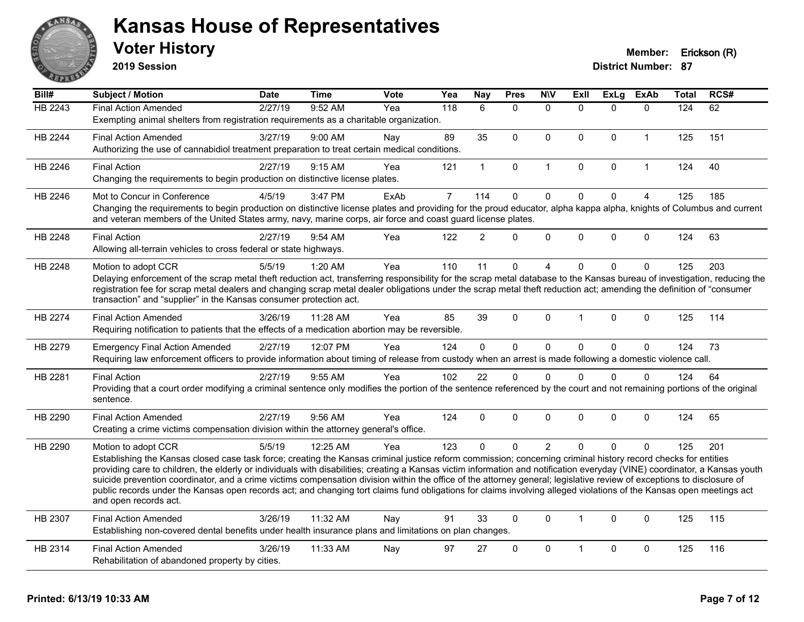

**2019 Session**

| Bill#          | <b>Subject / Motion</b>                                                                                                                                                                                                                                                                                                                       | <b>Date</b> | <b>Time</b> | Vote | Yea            | <b>Nay</b>     | <b>Pres</b>  | <b>NIV</b>     | <b>Exll</b>  | <b>ExLg</b> | <b>ExAb</b>    | <b>Total</b> | RCS# |
|----------------|-----------------------------------------------------------------------------------------------------------------------------------------------------------------------------------------------------------------------------------------------------------------------------------------------------------------------------------------------|-------------|-------------|------|----------------|----------------|--------------|----------------|--------------|-------------|----------------|--------------|------|
| <b>HB 2243</b> | <b>Final Action Amended</b>                                                                                                                                                                                                                                                                                                                   | 2/27/19     | 9:52 AM     | Yea  | 118            | 6              | $\mathbf{0}$ | $\mathbf{0}$   | $\Omega$     | $\Omega$    | $\mathbf{0}$   | 124          | 62   |
|                | Exempting animal shelters from registration requirements as a charitable organization.                                                                                                                                                                                                                                                        |             |             |      |                |                |              |                |              |             |                |              |      |
| <b>HB 2244</b> | <b>Final Action Amended</b>                                                                                                                                                                                                                                                                                                                   | 3/27/19     | 9:00 AM     | Nay  | 89             | 35             | $\mathbf 0$  | $\mathbf 0$    | $\mathbf 0$  | 0           | $\mathbf{1}$   | 125          | 151  |
|                | Authorizing the use of cannabidiol treatment preparation to treat certain medical conditions.                                                                                                                                                                                                                                                 |             |             |      |                |                |              |                |              |             |                |              |      |
| HB 2246        | <b>Final Action</b>                                                                                                                                                                                                                                                                                                                           | 2/27/19     | 9:15 AM     | Yea  | 121            | $\mathbf{1}$   | $\mathbf 0$  | $\mathbf{1}$   | $\Omega$     | 0           | $\mathbf{1}$   | 124          | 40   |
|                | Changing the requirements to begin production on distinctive license plates.                                                                                                                                                                                                                                                                  |             |             |      |                |                |              |                |              |             |                |              |      |
| HB 2246        | Mot to Concur in Conference                                                                                                                                                                                                                                                                                                                   | 4/5/19      | 3:47 PM     | ExAb | $\overline{7}$ | 114            | $\mathbf 0$  | $\pmb{0}$      | $\mathbf 0$  | $\mathbf 0$ | $\overline{4}$ | 125          | 185  |
|                | Changing the requirements to begin production on distinctive license plates and providing for the proud educator, alpha kappa alpha, knights of Columbus and current                                                                                                                                                                          |             |             |      |                |                |              |                |              |             |                |              |      |
|                | and veteran members of the United States army, navy, marine corps, air force and coast guard license plates.                                                                                                                                                                                                                                  |             |             |      |                |                |              |                |              |             |                |              |      |
| HB 2248        | <b>Final Action</b>                                                                                                                                                                                                                                                                                                                           | 2/27/19     | 9:54 AM     | Yea  | 122            | $\overline{2}$ | $\mathbf{0}$ | $\mathbf{0}$   | $\Omega$     | $\Omega$    | $\mathbf 0$    | 124          | 63   |
|                | Allowing all-terrain vehicles to cross federal or state highways.                                                                                                                                                                                                                                                                             |             |             |      |                |                |              |                |              |             |                |              |      |
| HB 2248        | Motion to adopt CCR                                                                                                                                                                                                                                                                                                                           | 5/5/19      | 1:20 AM     | Yea  | 110            | 11             | $\mathbf 0$  | 4              | $\Omega$     | $\Omega$    | $\mathbf{0}$   | 125          | 203  |
|                | Delaying enforcement of the scrap metal theft reduction act, transferring responsibility for the scrap metal database to the Kansas bureau of investigation, reducing the                                                                                                                                                                     |             |             |      |                |                |              |                |              |             |                |              |      |
|                | registration fee for scrap metal dealers and changing scrap metal dealer obligations under the scrap metal theft reduction act; amending the definition of "consumer                                                                                                                                                                          |             |             |      |                |                |              |                |              |             |                |              |      |
|                | transaction" and "supplier" in the Kansas consumer protection act.                                                                                                                                                                                                                                                                            |             |             |      |                |                |              |                |              |             |                |              |      |
| HB 2274        | <b>Final Action Amended</b>                                                                                                                                                                                                                                                                                                                   | 3/26/19     | 11:28 AM    | Yea  | 85             | 39             | $\mathbf{0}$ | $\mathbf{0}$   | 1            | $\Omega$    | $\mathbf{0}$   | 125          | 114  |
|                | Requiring notification to patients that the effects of a medication abortion may be reversible.                                                                                                                                                                                                                                               |             |             |      |                |                |              |                |              |             |                |              |      |
| HB 2279        | <b>Emergency Final Action Amended</b>                                                                                                                                                                                                                                                                                                         | 2/27/19     | 12:07 PM    | Yea  | 124            | $\overline{0}$ | $\mathbf 0$  | $\pmb{0}$      | $\Omega$     | $\mathbf 0$ | $\mathbf 0$    | 124          | 73   |
|                | Requiring law enforcement officers to provide information about timing of release from custody when an arrest is made following a domestic violence call.                                                                                                                                                                                     |             |             |      |                |                |              |                |              |             |                |              |      |
| HB 2281        | <b>Final Action</b>                                                                                                                                                                                                                                                                                                                           | 2/27/19     | 9:55 AM     | Yea  | 102            | 22             | $\mathbf{0}$ | $\Omega$       | $\Omega$     | $\Omega$    | $\mathbf{0}$   | 124          | 64   |
|                | Providing that a court order modifying a criminal sentence only modifies the portion of the sentence referenced by the court and not remaining portions of the original                                                                                                                                                                       |             |             |      |                |                |              |                |              |             |                |              |      |
|                | sentence.                                                                                                                                                                                                                                                                                                                                     |             |             |      |                |                |              |                |              |             |                |              |      |
| HB 2290        | <b>Final Action Amended</b>                                                                                                                                                                                                                                                                                                                   | 2/27/19     | 9:56 AM     | Yea  | 124            | $\Omega$       | $\mathbf{0}$ | $\mathbf{0}$   | $\Omega$     | $\Omega$    | $\mathbf{0}$   | 124          | 65   |
|                | Creating a crime victims compensation division within the attorney general's office.                                                                                                                                                                                                                                                          |             |             |      |                |                |              |                |              |             |                |              |      |
| HB 2290        | Motion to adopt CCR                                                                                                                                                                                                                                                                                                                           | 5/5/19      | 12:25 AM    | Yea  | 123            | $\Omega$       | $\mathbf{0}$ | $\overline{2}$ | $\Omega$     | $\Omega$    | $\Omega$       | 125          | 201  |
|                | Establishing the Kansas closed case task force; creating the Kansas criminal justice reform commission; concerning criminal history record checks for entities                                                                                                                                                                                |             |             |      |                |                |              |                |              |             |                |              |      |
|                | providing care to children, the elderly or individuals with disabilities; creating a Kansas victim information and notification everyday (VINE) coordinator, a Kansas youth                                                                                                                                                                   |             |             |      |                |                |              |                |              |             |                |              |      |
|                | suicide prevention coordinator, and a crime victims compensation division within the office of the attorney general; legislative review of exceptions to disclosure of<br>public records under the Kansas open records act; and changing tort claims fund obligations for claims involving alleged violations of the Kansas open meetings act |             |             |      |                |                |              |                |              |             |                |              |      |
|                | and open records act.                                                                                                                                                                                                                                                                                                                         |             |             |      |                |                |              |                |              |             |                |              |      |
| HB 2307        | <b>Final Action Amended</b>                                                                                                                                                                                                                                                                                                                   | 3/26/19     | 11:32 AM    | Nay  | 91             | 33             | $\mathbf 0$  | $\mathbf{0}$   | $\mathbf{1}$ | $\Omega$    | $\mathbf{0}$   | 125          | 115  |
|                | Establishing non-covered dental benefits under health insurance plans and limitations on plan changes.                                                                                                                                                                                                                                        |             |             |      |                |                |              |                |              |             |                |              |      |
| HB 2314        | <b>Final Action Amended</b>                                                                                                                                                                                                                                                                                                                   | 3/26/19     | 11:33 AM    | Nay  | 97             | 27             | $\mathbf{0}$ | $\mathbf{0}$   | 1            | $\Omega$    | $\mathbf{0}$   | 125          | 116  |
|                | Rehabilitation of abandoned property by cities.                                                                                                                                                                                                                                                                                               |             |             |      |                |                |              |                |              |             |                |              |      |
|                |                                                                                                                                                                                                                                                                                                                                               |             |             |      |                |                |              |                |              |             |                |              |      |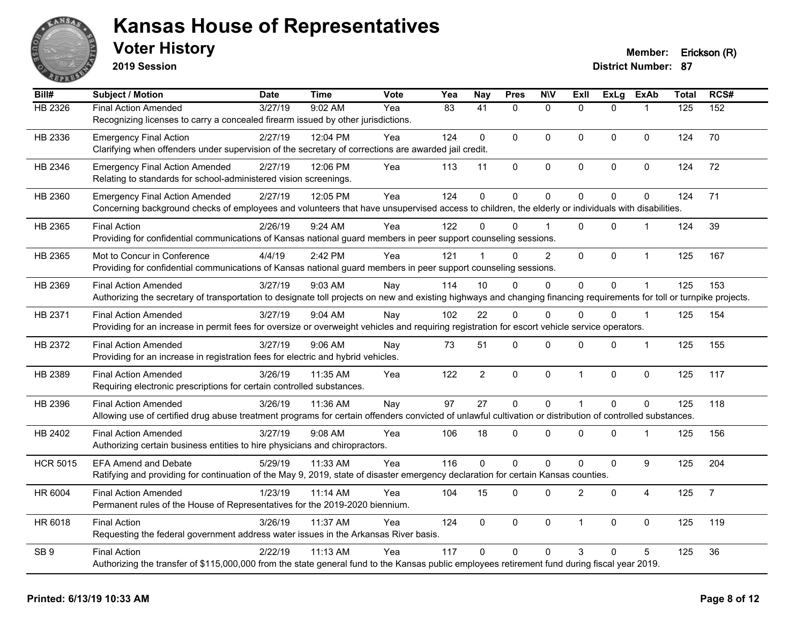

**2019 Session**

| Bill#           | <b>Subject / Motion</b>                                                                                                                                                | <b>Date</b> | <b>Time</b> | <b>Vote</b> | Yea | <b>Nay</b>     | <b>Pres</b>    | <b>NIV</b>     | <b>ExII</b>    | <b>ExLg</b>    | <b>ExAb</b>    | <b>Total</b> | RCS#           |
|-----------------|------------------------------------------------------------------------------------------------------------------------------------------------------------------------|-------------|-------------|-------------|-----|----------------|----------------|----------------|----------------|----------------|----------------|--------------|----------------|
| HB 2326         | <b>Final Action Amended</b>                                                                                                                                            | 3/27/19     | 9:02 AM     | Yea         | 83  | 41             | $\Omega$       | $\mathbf{0}$   | $\Omega$       | $\Omega$       |                | 125          | 152            |
|                 | Recognizing licenses to carry a concealed firearm issued by other jurisdictions.                                                                                       |             |             |             |     |                |                |                |                |                |                |              |                |
| HB 2336         | <b>Emergency Final Action</b>                                                                                                                                          | 2/27/19     | 12:04 PM    | Yea         | 124 | $\mathbf 0$    | $\mathbf 0$    | $\mathbf 0$    | $\mathbf 0$    | $\Omega$       | $\mathbf 0$    | 124          | 70             |
|                 | Clarifying when offenders under supervision of the secretary of corrections are awarded jail credit.                                                                   |             |             |             |     |                |                |                |                |                |                |              |                |
| HB 2346         | <b>Emergency Final Action Amended</b>                                                                                                                                  | 2/27/19     | 12:06 PM    | Yea         | 113 | 11             | $\pmb{0}$      | $\pmb{0}$      | $\mathbf 0$    | 0              | 0              | 124          | 72             |
|                 | Relating to standards for school-administered vision screenings.                                                                                                       |             |             |             |     |                |                |                |                |                |                |              |                |
| HB 2360         | <b>Emergency Final Action Amended</b>                                                                                                                                  | 2/27/19     | 12:05 PM    | Yea         | 124 | $\mathbf{0}$   | $\mathbf 0$    | $\mathbf 0$    | $\Omega$       | 0              | $\mathbf 0$    | 124          | 71             |
|                 | Concerning background checks of employees and volunteers that have unsupervised access to children, the elderly or individuals with disabilities.                      |             |             |             |     |                |                |                |                |                |                |              |                |
| HB 2365         | <b>Final Action</b>                                                                                                                                                    | 2/26/19     | 9:24 AM     | Yea         | 122 | 0              | $\Omega$       |                | $\Omega$       | $\Omega$       |                | 124          | 39             |
|                 | Providing for confidential communications of Kansas national guard members in peer support counseling sessions.                                                        |             |             |             |     |                |                |                |                |                |                |              |                |
| HB 2365         | Mot to Concur in Conference                                                                                                                                            | 4/4/19      | 2:42 PM     | Yea         | 121 |                | $\Omega$       | $\overline{2}$ | $\mathbf{0}$   | $\Omega$       | $\mathbf{1}$   | 125          | 167            |
|                 | Providing for confidential communications of Kansas national guard members in peer support counseling sessions.                                                        |             |             |             |     |                |                |                |                |                |                |              |                |
| HB 2369         | <b>Final Action Amended</b>                                                                                                                                            | 3/27/19     | 9:03 AM     | Nay         | 114 | 10             | $\Omega$       | $\mathbf 0$    | 0              | 0              |                | 125          | 153            |
|                 | Authorizing the secretary of transportation to designate toll projects on new and existing highways and changing financing requirements for toll or turnpike projects. |             |             |             |     |                |                |                |                |                |                |              |                |
| HB 2371         | <b>Final Action Amended</b>                                                                                                                                            | 3/27/19     | $9:04$ AM   | Nay         | 102 | 22             | $\Omega$       | $\mathbf{0}$   | $\Omega$       | $\Omega$       | $\overline{1}$ | 125          | 154            |
|                 | Providing for an increase in permit fees for oversize or overweight vehicles and requiring registration for escort vehicle service operators.                          |             |             |             |     |                |                |                |                |                |                |              |                |
| HB 2372         | <b>Final Action Amended</b>                                                                                                                                            | 3/27/19     | 9:06 AM     | Nay         | 73  | 51             | 0              | 0              | 0              | 0              | $\mathbf 1$    | 125          | 155            |
|                 | Providing for an increase in registration fees for electric and hybrid vehicles.                                                                                       |             |             |             |     |                |                |                |                |                |                |              |                |
| HB 2389         | <b>Final Action Amended</b>                                                                                                                                            | 3/26/19     | 11:35 AM    | Yea         | 122 | $\overline{2}$ | $\mathbf 0$    | $\mathbf 0$    | $\mathbf{1}$   | 0              | 0              | 125          | 117            |
|                 | Requiring electronic prescriptions for certain controlled substances.                                                                                                  |             |             |             |     |                |                |                |                |                |                |              |                |
| HB 2396         | <b>Final Action Amended</b>                                                                                                                                            | 3/26/19     | 11:36 AM    | Nay         | 97  | 27             | $\mathbf 0$    | $\mathbf 0$    | 1              | $\overline{0}$ | $\mathbf 0$    | 125          | 118            |
|                 | Allowing use of certified drug abuse treatment programs for certain offenders convicted of unlawful cultivation or distribution of controlled substances.              |             |             |             |     |                |                |                |                |                |                |              |                |
| HB 2402         | <b>Final Action Amended</b>                                                                                                                                            | 3/27/19     | $9:08$ AM   | Yea         | 106 | 18             | $\Omega$       | $\mathbf{0}$   | $\Omega$       | $\Omega$       | $\mathbf 1$    | 125          | 156            |
|                 | Authorizing certain business entities to hire physicians and chiropractors.                                                                                            |             |             |             |     |                |                |                |                |                |                |              |                |
| <b>HCR 5015</b> | <b>EFA Amend and Debate</b>                                                                                                                                            | 5/29/19     | 11:33 AM    | Yea         | 116 | 0              | $\overline{0}$ | $\pmb{0}$      | 0              | 0              | 9              | 125          | 204            |
|                 | Ratifying and providing for continuation of the May 9, 2019, state of disaster emergency declaration for certain Kansas counties.                                      |             |             |             |     |                |                |                |                |                |                |              |                |
| HR 6004         | <b>Final Action Amended</b>                                                                                                                                            | 1/23/19     | 11:14 AM    | Yea         | 104 | 15             | 0              | $\mathbf 0$    | $\overline{2}$ | 0              | 4              | 125          | $\overline{7}$ |
|                 | Permanent rules of the House of Representatives for the 2019-2020 biennium.                                                                                            |             |             |             |     |                |                |                |                |                |                |              |                |
| HR 6018         | <b>Final Action</b>                                                                                                                                                    | 3/26/19     | 11:37 AM    | Yea         | 124 | $\Omega$       | $\Omega$       | $\mathbf{0}$   | $\mathbf{1}$   | $\mathbf{0}$   | $\pmb{0}$      | 125          | 119            |
|                 | Requesting the federal government address water issues in the Arkansas River basis.                                                                                    |             |             |             |     |                |                |                |                |                |                |              |                |
| SB <sub>9</sub> | <b>Final Action</b>                                                                                                                                                    | 2/22/19     | 11:13 AM    | Yea         | 117 | $\Omega$       | $\Omega$       | $\mathbf{0}$   | 3              | $\Omega$       | 5              | 125          | 36             |
|                 | Authorizing the transfer of \$115,000,000 from the state general fund to the Kansas public employees retirement fund during fiscal year 2019.                          |             |             |             |     |                |                |                |                |                |                |              |                |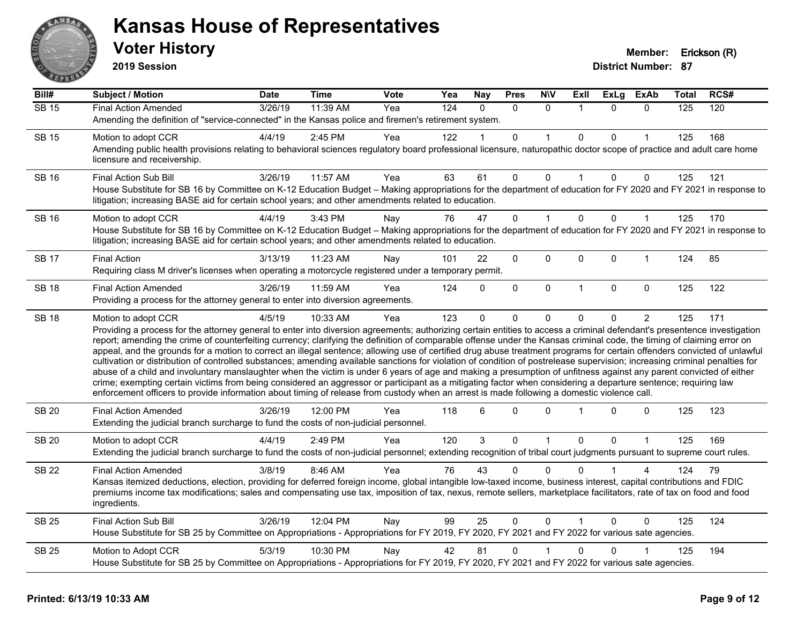

**2019 Session**

| Bill#        | <b>Subject / Motion</b>                                                                                                                                                                                                                                                                                                                                                                                                                                                                                                                                                                                                                                                                                                                                                                                                                                                                                                                                                                                                                                                                                                                                                                                                     | Date    | <b>Time</b> | Vote | Yea              | <b>Nay</b> | <b>Pres</b> | <b>NIV</b>   | ExII         | <b>ExLg</b>  | <b>ExAb</b>    | Total | RCS# |
|--------------|-----------------------------------------------------------------------------------------------------------------------------------------------------------------------------------------------------------------------------------------------------------------------------------------------------------------------------------------------------------------------------------------------------------------------------------------------------------------------------------------------------------------------------------------------------------------------------------------------------------------------------------------------------------------------------------------------------------------------------------------------------------------------------------------------------------------------------------------------------------------------------------------------------------------------------------------------------------------------------------------------------------------------------------------------------------------------------------------------------------------------------------------------------------------------------------------------------------------------------|---------|-------------|------|------------------|------------|-------------|--------------|--------------|--------------|----------------|-------|------|
| <b>SB 15</b> | <b>Final Action Amended</b>                                                                                                                                                                                                                                                                                                                                                                                                                                                                                                                                                                                                                                                                                                                                                                                                                                                                                                                                                                                                                                                                                                                                                                                                 | 3/26/19 | 11:39 AM    | Yea  | $\overline{124}$ | $\Omega$   | $\Omega$    | $\Omega$     |              | $\Omega$     | $\Omega$       | 125   | 120  |
|              | Amending the definition of "service-connected" in the Kansas police and firemen's retirement system.                                                                                                                                                                                                                                                                                                                                                                                                                                                                                                                                                                                                                                                                                                                                                                                                                                                                                                                                                                                                                                                                                                                        |         |             |      |                  |            |             |              |              |              |                |       |      |
| <b>SB 15</b> | Motion to adopt CCR                                                                                                                                                                                                                                                                                                                                                                                                                                                                                                                                                                                                                                                                                                                                                                                                                                                                                                                                                                                                                                                                                                                                                                                                         | 4/4/19  | 2:45 PM     | Yea  | 122              |            | $\Omega$    |              | $\Omega$     | $\Omega$     |                | 125   | 168  |
|              | Amending public health provisions relating to behavioral sciences regulatory board professional licensure, naturopathic doctor scope of practice and adult care home<br>licensure and receivership.                                                                                                                                                                                                                                                                                                                                                                                                                                                                                                                                                                                                                                                                                                                                                                                                                                                                                                                                                                                                                         |         |             |      |                  |            |             |              |              |              |                |       |      |
| <b>SB 16</b> | Final Action Sub Bill                                                                                                                                                                                                                                                                                                                                                                                                                                                                                                                                                                                                                                                                                                                                                                                                                                                                                                                                                                                                                                                                                                                                                                                                       | 3/26/19 | 11:57 AM    | Yea  | 63               | 61         | 0           | $\Omega$     |              | $\Omega$     | 0              | 125   | 121  |
|              | House Substitute for SB 16 by Committee on K-12 Education Budget - Making appropriations for the department of education for FY 2020 and FY 2021 in response to<br>litigation; increasing BASE aid for certain school years; and other amendments related to education.                                                                                                                                                                                                                                                                                                                                                                                                                                                                                                                                                                                                                                                                                                                                                                                                                                                                                                                                                     |         |             |      |                  |            |             |              |              |              |                |       |      |
| <b>SB 16</b> | Motion to adopt CCR                                                                                                                                                                                                                                                                                                                                                                                                                                                                                                                                                                                                                                                                                                                                                                                                                                                                                                                                                                                                                                                                                                                                                                                                         | 4/4/19  | 3:43 PM     | Nay  | 76               | 47         | 0           |              | $\mathbf 0$  | $\Omega$     | 1              | 125   | 170  |
|              | House Substitute for SB 16 by Committee on K-12 Education Budget - Making appropriations for the department of education for FY 2020 and FY 2021 in response to<br>litigation; increasing BASE aid for certain school years; and other amendments related to education.                                                                                                                                                                                                                                                                                                                                                                                                                                                                                                                                                                                                                                                                                                                                                                                                                                                                                                                                                     |         |             |      |                  |            |             |              |              |              |                |       |      |
| <b>SB 17</b> | <b>Final Action</b>                                                                                                                                                                                                                                                                                                                                                                                                                                                                                                                                                                                                                                                                                                                                                                                                                                                                                                                                                                                                                                                                                                                                                                                                         | 3/13/19 | 11:23 AM    | Nay  | 101              | 22         | 0           | 0            | $\mathbf 0$  | 0            | 1              | 124   | 85   |
|              | Requiring class M driver's licenses when operating a motorcycle registered under a temporary permit.                                                                                                                                                                                                                                                                                                                                                                                                                                                                                                                                                                                                                                                                                                                                                                                                                                                                                                                                                                                                                                                                                                                        |         |             |      |                  |            |             |              |              |              |                |       |      |
| <b>SB 18</b> | <b>Final Action Amended</b>                                                                                                                                                                                                                                                                                                                                                                                                                                                                                                                                                                                                                                                                                                                                                                                                                                                                                                                                                                                                                                                                                                                                                                                                 | 3/26/19 | 11:59 AM    | Yea  | 124              | $\Omega$   | 0           | $\mathbf 0$  | $\mathbf{1}$ | $\mathbf{0}$ | $\mathbf 0$    | 125   | 122  |
|              | Providing a process for the attorney general to enter into diversion agreements.                                                                                                                                                                                                                                                                                                                                                                                                                                                                                                                                                                                                                                                                                                                                                                                                                                                                                                                                                                                                                                                                                                                                            |         |             |      |                  |            |             |              |              |              |                |       |      |
| <b>SB 18</b> | Motion to adopt CCR<br>Providing a process for the attorney general to enter into diversion agreements; authorizing certain entities to access a criminal defendant's presentence investigation<br>report; amending the crime of counterfeiting currency; clarifying the definition of comparable offense under the Kansas criminal code, the timing of claiming error on<br>appeal, and the grounds for a motion to correct an illegal sentence; allowing use of certified drug abuse treatment programs for certain offenders convicted of unlawful<br>cultivation or distribution of controlled substances; amending available sanctions for violation of condition of postrelease supervision; increasing criminal penalties for<br>abuse of a child and involuntary manslaughter when the victim is under 6 years of age and making a presumption of unfitness against any parent convicted of either<br>crime; exempting certain victims from being considered an aggressor or participant as a mitigating factor when considering a departure sentence; requiring law<br>enforcement officers to provide information about timing of release from custody when an arrest is made following a domestic violence call. | 4/5/19  | 10:33 AM    | Yea  | 123              | $\Omega$   | 0           | 0            | $\Omega$     | 0            | $\overline{2}$ | 125   | 171  |
| <b>SB 20</b> | <b>Final Action Amended</b><br>Extending the judicial branch surcharge to fund the costs of non-judicial personnel.                                                                                                                                                                                                                                                                                                                                                                                                                                                                                                                                                                                                                                                                                                                                                                                                                                                                                                                                                                                                                                                                                                         | 3/26/19 | 12:00 PM    | Yea  | 118              | 6          | $\Omega$    | $\Omega$     |              | $\Omega$     | 0              | 125   | 123  |
| <b>SB 20</b> | Motion to adopt CCR                                                                                                                                                                                                                                                                                                                                                                                                                                                                                                                                                                                                                                                                                                                                                                                                                                                                                                                                                                                                                                                                                                                                                                                                         | 4/4/19  | 2:49 PM     | Yea  | 120              | 3          | 0           | 1            | $\mathbf 0$  | 0            | 1              | 125   | 169  |
|              | Extending the judicial branch surcharge to fund the costs of non-judicial personnel; extending recognition of tribal court judgments pursuant to supreme court rules.                                                                                                                                                                                                                                                                                                                                                                                                                                                                                                                                                                                                                                                                                                                                                                                                                                                                                                                                                                                                                                                       |         |             |      |                  |            |             |              |              |              |                |       |      |
| <b>SB 22</b> | <b>Final Action Amended</b>                                                                                                                                                                                                                                                                                                                                                                                                                                                                                                                                                                                                                                                                                                                                                                                                                                                                                                                                                                                                                                                                                                                                                                                                 | 3/8/19  | 8:46 AM     | Yea  | 76               | 43         | 0           | $\Omega$     | <sup>0</sup> |              |                | 124   | 79   |
|              | Kansas itemized deductions, election, providing for deferred foreign income, global intangible low-taxed income, business interest, capital contributions and FDIC<br>premiums income tax modifications; sales and compensating use tax, imposition of tax, nexus, remote sellers, marketplace facilitators, rate of tax on food and food<br>ingredients.                                                                                                                                                                                                                                                                                                                                                                                                                                                                                                                                                                                                                                                                                                                                                                                                                                                                   |         |             |      |                  |            |             |              |              |              |                |       |      |
| <b>SB 25</b> | <b>Final Action Sub Bill</b>                                                                                                                                                                                                                                                                                                                                                                                                                                                                                                                                                                                                                                                                                                                                                                                                                                                                                                                                                                                                                                                                                                                                                                                                | 3/26/19 | 12:04 PM    | Nay  | 99               | 25         | 0           | $\mathbf{0}$ |              | $\Omega$     | $\Omega$       | 125   | 124  |
|              | House Substitute for SB 25 by Committee on Appropriations - Appropriations for FY 2019, FY 2020, FY 2021 and FY 2022 for various sate agencies.                                                                                                                                                                                                                                                                                                                                                                                                                                                                                                                                                                                                                                                                                                                                                                                                                                                                                                                                                                                                                                                                             |         |             |      |                  |            |             |              |              |              |                |       |      |
| <b>SB 25</b> | Motion to Adopt CCR                                                                                                                                                                                                                                                                                                                                                                                                                                                                                                                                                                                                                                                                                                                                                                                                                                                                                                                                                                                                                                                                                                                                                                                                         | 5/3/19  | 10:30 PM    | Nay  | 42               | 81         | 0           |              | $\mathbf{0}$ | 0            |                | 125   | 194  |
|              | House Substitute for SB 25 by Committee on Appropriations - Appropriations for FY 2019, FY 2020, FY 2021 and FY 2022 for various sate agencies.                                                                                                                                                                                                                                                                                                                                                                                                                                                                                                                                                                                                                                                                                                                                                                                                                                                                                                                                                                                                                                                                             |         |             |      |                  |            |             |              |              |              |                |       |      |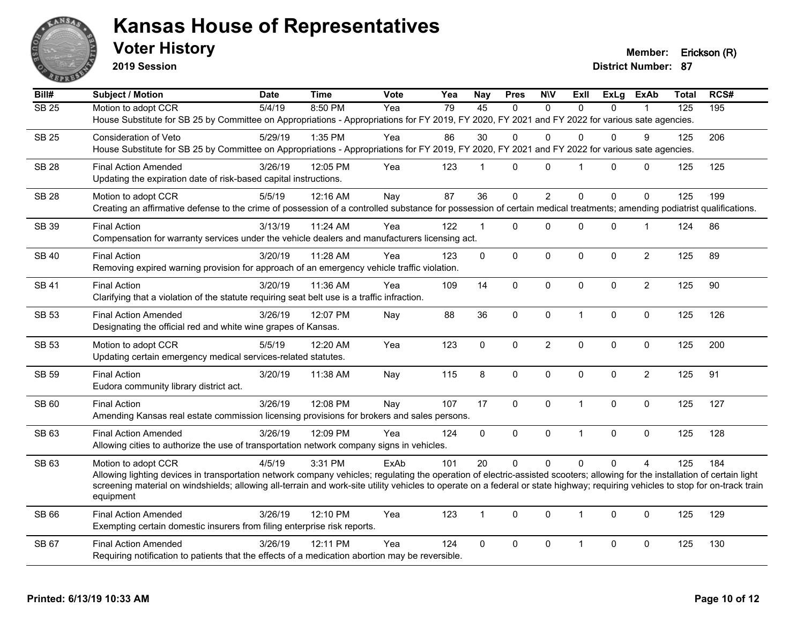

**2019 Session**

**Voter History Member: Erickson (R)** 

| Bill#            | Subject / Motion                                                                                                                                                               | <b>Date</b> | <b>Time</b> | Vote | Yea | <b>Nay</b>   | <b>Pres</b> | <b>NIV</b>     | ExII           | <b>ExLg</b>  | <b>ExAb</b>    | <b>Total</b>     | RCS# |
|------------------|--------------------------------------------------------------------------------------------------------------------------------------------------------------------------------|-------------|-------------|------|-----|--------------|-------------|----------------|----------------|--------------|----------------|------------------|------|
| SB <sub>25</sub> | Motion to adopt CCR                                                                                                                                                            | 5/4/19      | 8:50 PM     | Yea  | 79  | 45           | $\Omega$    | $\Omega$       | $\Omega$       | $\Omega$     |                | $\overline{125}$ | 195  |
|                  | House Substitute for SB 25 by Committee on Appropriations - Appropriations for FY 2019, FY 2020, FY 2021 and FY 2022 for various sate agencies.                                |             |             |      |     |              |             |                |                |              |                |                  |      |
| <b>SB 25</b>     | Consideration of Veto                                                                                                                                                          | 5/29/19     | 1:35 PM     | Yea  | 86  | 30           | $\Omega$    | $\Omega$       | $\Omega$       | 0            | 9              | 125              | 206  |
|                  | House Substitute for SB 25 by Committee on Appropriations - Appropriations for FY 2019, FY 2020, FY 2021 and FY 2022 for various sate agencies.                                |             |             |      |     |              |             |                |                |              |                |                  |      |
| <b>SB 28</b>     | <b>Final Action Amended</b>                                                                                                                                                    | 3/26/19     | 12:05 PM    | Yea  | 123 | $\mathbf{1}$ | $\Omega$    | $\mathbf{0}$   | $\overline{1}$ | $\mathbf{0}$ | 0              | 125              | 125  |
|                  | Updating the expiration date of risk-based capital instructions.                                                                                                               |             |             |      |     |              |             |                |                |              |                |                  |      |
| <b>SB 28</b>     | Motion to adopt CCR                                                                                                                                                            | 5/5/19      | 12:16 AM    | Nay  | 87  | 36           | $\Omega$    | $\overline{2}$ | $\Omega$       | $\Omega$     | $\Omega$       | 125              | 199  |
|                  | Creating an affirmative defense to the crime of possession of a controlled substance for possession of certain medical treatments; amending podiatrist qualifications.         |             |             |      |     |              |             |                |                |              |                |                  |      |
| SB 39            | <b>Final Action</b>                                                                                                                                                            | 3/13/19     | 11:24 AM    | Yea  | 122 | $\mathbf 1$  | 0           | $\mathbf 0$    | $\mathbf 0$    | 0            | $\mathbf 1$    | 124              | 86   |
|                  | Compensation for warranty services under the vehicle dealers and manufacturers licensing act.                                                                                  |             |             |      |     |              |             |                |                |              |                |                  |      |
|                  |                                                                                                                                                                                |             |             |      |     |              |             |                |                |              |                |                  |      |
| <b>SB 40</b>     | <b>Final Action</b><br>Removing expired warning provision for approach of an emergency vehicle traffic violation.                                                              | 3/20/19     | 11:28 AM    | Yea  | 123 | 0            | 0           | $\pmb{0}$      | $\mathbf 0$    | 0            | $\overline{c}$ | 125              | 89   |
|                  |                                                                                                                                                                                |             |             |      |     |              |             |                |                |              |                |                  |      |
| <b>SB 41</b>     | <b>Final Action</b>                                                                                                                                                            | 3/20/19     | 11:36 AM    | Yea  | 109 | 14           | $\Omega$    | $\mathbf 0$    | $\mathbf{0}$   | $\mathbf{0}$ | $\overline{2}$ | 125              | 90   |
|                  | Clarifying that a violation of the statute requiring seat belt use is a traffic infraction.                                                                                    |             |             |      |     |              |             |                |                |              |                |                  |      |
| SB 53            | <b>Final Action Amended</b>                                                                                                                                                    | 3/26/19     | 12:07 PM    | Nay  | 88  | 36           | 0           | $\mathbf 0$    | $\overline{1}$ | 0            | $\mathbf 0$    | 125              | 126  |
|                  | Designating the official red and white wine grapes of Kansas.                                                                                                                  |             |             |      |     |              |             |                |                |              |                |                  |      |
| <b>SB 53</b>     | Motion to adopt CCR                                                                                                                                                            | 5/5/19      | 12:20 AM    | Yea  | 123 | $\mathbf 0$  | 0           | $\overline{2}$ | $\pmb{0}$      | 0            | $\mathbf 0$    | 125              | 200  |
|                  | Updating certain emergency medical services-related statutes.                                                                                                                  |             |             |      |     |              |             |                |                |              |                |                  |      |
| <b>SB 59</b>     | <b>Final Action</b>                                                                                                                                                            | 3/20/19     | 11:38 AM    | Nay  | 115 | 8            | $\Omega$    | $\Omega$       | $\Omega$       | $\Omega$     | $\overline{2}$ | 125              | 91   |
|                  | Eudora community library district act.                                                                                                                                         |             |             |      |     |              |             |                |                |              |                |                  |      |
| SB 60            | <b>Final Action</b>                                                                                                                                                            | 3/26/19     | 12:08 PM    | Nay  | 107 | 17           | 0           | $\pmb{0}$      | $\mathbf{1}$   | 0            | $\mathbf 0$    | 125              | 127  |
|                  | Amending Kansas real estate commission licensing provisions for brokers and sales persons.                                                                                     |             |             |      |     |              |             |                |                |              |                |                  |      |
| SB 63            | <b>Final Action Amended</b>                                                                                                                                                    | 3/26/19     | 12:09 PM    | Yea  | 124 | $\mathbf 0$  | 0           | $\pmb{0}$      | $\overline{1}$ | 0            | 0              | 125              | 128  |
|                  | Allowing cities to authorize the use of transportation network company signs in vehicles.                                                                                      |             |             |      |     |              |             |                |                |              |                |                  |      |
| SB 63            | Motion to adopt CCR                                                                                                                                                            | 4/5/19      | 3:31 PM     | ExAb | 101 | 20           | $\Omega$    | $\Omega$       | $\Omega$       | $\Omega$     | $\overline{4}$ | 125              | 184  |
|                  | Allowing lighting devices in transportation network company vehicles; regulating the operation of electric-assisted scooters; allowing for the installation of certain light   |             |             |      |     |              |             |                |                |              |                |                  |      |
|                  | screening material on windshields; allowing all-terrain and work-site utility vehicles to operate on a federal or state highway; requiring vehicles to stop for on-track train |             |             |      |     |              |             |                |                |              |                |                  |      |
|                  | equipment                                                                                                                                                                      |             |             |      |     |              |             |                |                |              |                |                  |      |
| SB 66            | <b>Final Action Amended</b>                                                                                                                                                    | 3/26/19     | 12:10 PM    | Yea  | 123 | $\mathbf{1}$ | $\Omega$    | $\Omega$       | $\overline{1}$ | $\Omega$     | $\mathbf{0}$   | 125              | 129  |
|                  | Exempting certain domestic insurers from filing enterprise risk reports.                                                                                                       |             |             |      |     |              |             |                |                |              |                |                  |      |
| SB 67            | <b>Final Action Amended</b>                                                                                                                                                    | 3/26/19     | 12:11 PM    | Yea  | 124 | 0            | 0           | $\mathbf 0$    | $\mathbf 1$    | 0            | $\mathbf 0$    | 125              | 130  |
|                  | Requiring notification to patients that the effects of a medication abortion may be reversible.                                                                                |             |             |      |     |              |             |                |                |              |                |                  |      |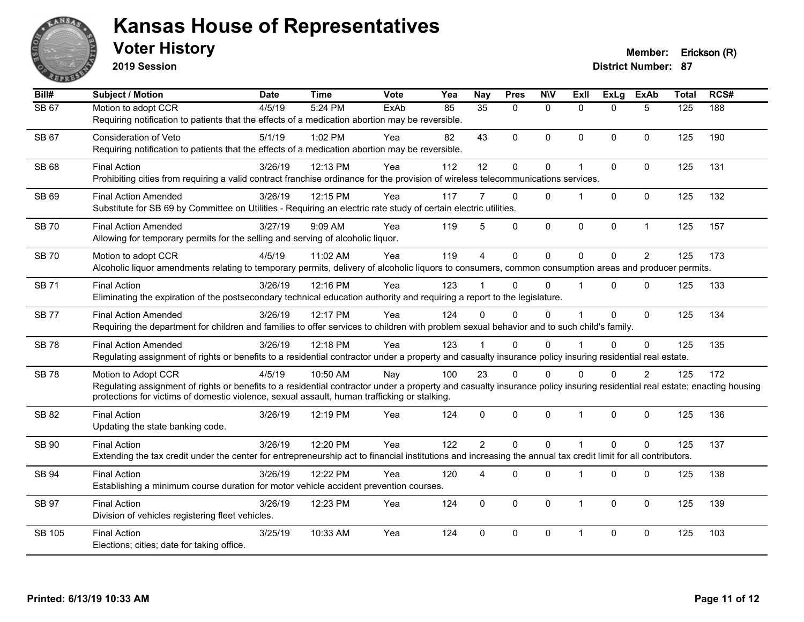

**2019 Session**

| Bill#         | <b>Subject / Motion</b>                                                                                                                                                                                                                                                                          | <b>Date</b> | <b>Time</b> | <b>Vote</b> | Yea | <b>Nay</b>     | <b>Pres</b>  | <b>NIV</b>   | <b>Exll</b> | <b>ExLg</b> | <b>ExAb</b>    | <b>Total</b> | RCS# |
|---------------|--------------------------------------------------------------------------------------------------------------------------------------------------------------------------------------------------------------------------------------------------------------------------------------------------|-------------|-------------|-------------|-----|----------------|--------------|--------------|-------------|-------------|----------------|--------------|------|
| SB 67         | Motion to adopt CCR<br>Requiring notification to patients that the effects of a medication abortion may be reversible.                                                                                                                                                                           | 4/5/19      | 5:24 PM     | ExAb        | 85  | 35             | $\Omega$     | $\mathbf{0}$ | 0           | 0           | 5              | 125          | 188  |
| <b>SB 67</b>  | Consideration of Veto<br>Requiring notification to patients that the effects of a medication abortion may be reversible.                                                                                                                                                                         | 5/1/19      | 1:02 PM     | Yea         | 82  | 43             | $\mathbf 0$  | $\mathbf{0}$ | $\Omega$    | $\mathbf 0$ | $\mathbf{0}$   | 125          | 190  |
| SB 68         | <b>Final Action</b><br>Prohibiting cities from requiring a valid contract franchise ordinance for the provision of wireless telecommunications services.                                                                                                                                         | 3/26/19     | 12:13 PM    | Yea         | 112 | 12             | 0            | $\pmb{0}$    | 1           | 0           | $\pmb{0}$      | 125          | 131  |
| SB 69         | <b>Final Action Amended</b><br>Substitute for SB 69 by Committee on Utilities - Requiring an electric rate study of certain electric utilities.                                                                                                                                                  | 3/26/19     | 12:15 PM    | Yea         | 117 |                | $\mathbf{0}$ | $\mathbf{0}$ |             | $\mathbf 0$ | $\mathbf{0}$   | 125          | 132  |
| <b>SB 70</b>  | <b>Final Action Amended</b><br>Allowing for temporary permits for the selling and serving of alcoholic liquor.                                                                                                                                                                                   | 3/27/19     | 9:09 AM     | Yea         | 119 | 5              | 0            | $\pmb{0}$    | 0           | 0           | $\mathbf{1}$   | 125          | 157  |
| <b>SB70</b>   | Motion to adopt CCR<br>Alcoholic liquor amendments relating to temporary permits, delivery of alcoholic liquors to consumers, common consumption areas and producer permits.                                                                                                                     | 4/5/19      | 11:02 AM    | Yea         | 119 | $\overline{A}$ | $\Omega$     | $\Omega$     | $\Omega$    | $\Omega$    | $\overline{2}$ | 125          | 173  |
| <b>SB71</b>   | <b>Final Action</b><br>Eliminating the expiration of the postsecondary technical education authority and requiring a report to the legislature.                                                                                                                                                  | 3/26/19     | 12:16 PM    | Yea         | 123 |                | $\Omega$     | $\Omega$     |             | $\Omega$    | $\mathbf{0}$   | 125          | 133  |
| <b>SB77</b>   | <b>Final Action Amended</b><br>Requiring the department for children and families to offer services to children with problem sexual behavior and to such child's family.                                                                                                                         | 3/26/19     | 12:17 PM    | Yea         | 124 | $\Omega$       | $\Omega$     | $\Omega$     |             | $\Omega$    | $\mathbf{0}$   | 125          | 134  |
| <b>SB78</b>   | <b>Final Action Amended</b><br>Regulating assignment of rights or benefits to a residential contractor under a property and casualty insurance policy insuring residential real estate.                                                                                                          | 3/26/19     | 12:18 PM    | Yea         | 123 |                | $\Omega$     | $\Omega$     |             | $\Omega$    | $\mathbf{0}$   | 125          | 135  |
| <b>SB78</b>   | Motion to Adopt CCR<br>Regulating assignment of rights or benefits to a residential contractor under a property and casualty insurance policy insuring residential real estate; enacting housing<br>protections for victims of domestic violence, sexual assault, human trafficking or stalking. | 4/5/19      | 10:50 AM    | Nay         | 100 | 23             | $\Omega$     | $\Omega$     | $\Omega$    | $\Omega$    | $\overline{2}$ | 125          | 172  |
| <b>SB 82</b>  | <b>Final Action</b><br>Updating the state banking code.                                                                                                                                                                                                                                          | 3/26/19     | 12:19 PM    | Yea         | 124 | $\mathbf{0}$   | 0            | $\mathbf 0$  | 1           | $\mathbf 0$ | $\mathbf 0$    | 125          | 136  |
| <b>SB 90</b>  | <b>Final Action</b><br>Extending the tax credit under the center for entrepreneurship act to financial institutions and increasing the annual tax credit limit for all contributors.                                                                                                             | 3/26/19     | 12:20 PM    | Yea         | 122 | $\overline{2}$ | $\mathbf 0$  | $\mathbf 0$  | 1           | 0           | $\mathbf 0$    | 125          | 137  |
| <b>SB 94</b>  | <b>Final Action</b><br>Establishing a minimum course duration for motor vehicle accident prevention courses.                                                                                                                                                                                     | 3/26/19     | 12:22 PM    | Yea         | 120 | 4              | $\Omega$     | $\mathbf{0}$ | 1           | $\mathbf 0$ | $\mathbf{0}$   | 125          | 138  |
| <b>SB 97</b>  | <b>Final Action</b><br>Division of vehicles registering fleet vehicles.                                                                                                                                                                                                                          | 3/26/19     | 12:23 PM    | Yea         | 124 | $\mathbf{0}$   | $\Omega$     | $\mathbf{0}$ | $\mathbf 1$ | $\Omega$    | $\mathbf{0}$   | 125          | 139  |
| <b>SB 105</b> | <b>Final Action</b><br>Elections; cities; date for taking office.                                                                                                                                                                                                                                | 3/25/19     | 10:33 AM    | Yea         | 124 | $\Omega$       | $\Omega$     | $\mathbf{0}$ | 1           | $\Omega$    | $\mathbf{0}$   | 125          | 103  |